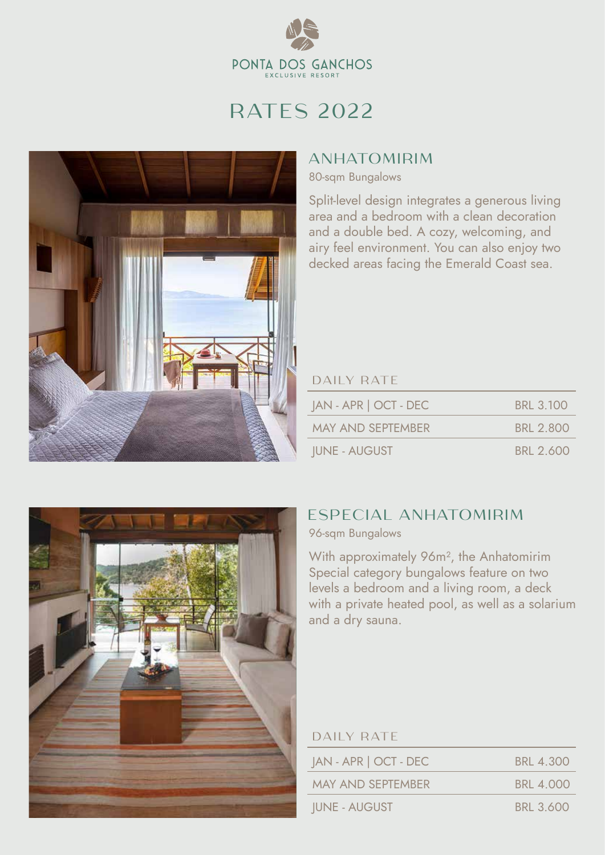

# RATES 2022



## **ANHATOMIRIM**

80-sqm Bungalows

Split-level design integrates a generous living area and a bedroom with a clean decoration and a double bed. A cozy, welcoming, and airy feel environment. You can also enjoy two decked areas facing the Emerald Coast sea.

### DAILY RATE

| JAN - APR   OCT - DEC    | <b>BRL 3.100</b> |
|--------------------------|------------------|
| <b>MAY AND SEPTEMBER</b> | BRI 2800         |
| <b>IUNE - AUGUST</b>     | <b>BRL 2.600</b> |



## ESPECIAL ANHATOMIRIM

96-sqm Bungalows

With approximately 96m², the Anhatomirim Special category bungalows feature on two levels a bedroom and a living room, a deck with a private heated pool, as well as a solarium and a dry sauna.

| <b>DAILY RATE</b> |  |  |
|-------------------|--|--|
|                   |  |  |

| JAN - APR   OCT - DEC    | BRL 4.300        |
|--------------------------|------------------|
| <b>MAY AND SEPTEMBER</b> | <b>BRL 4.000</b> |
| <b>IUNE - AUGUST</b>     | <b>BRL 3.600</b> |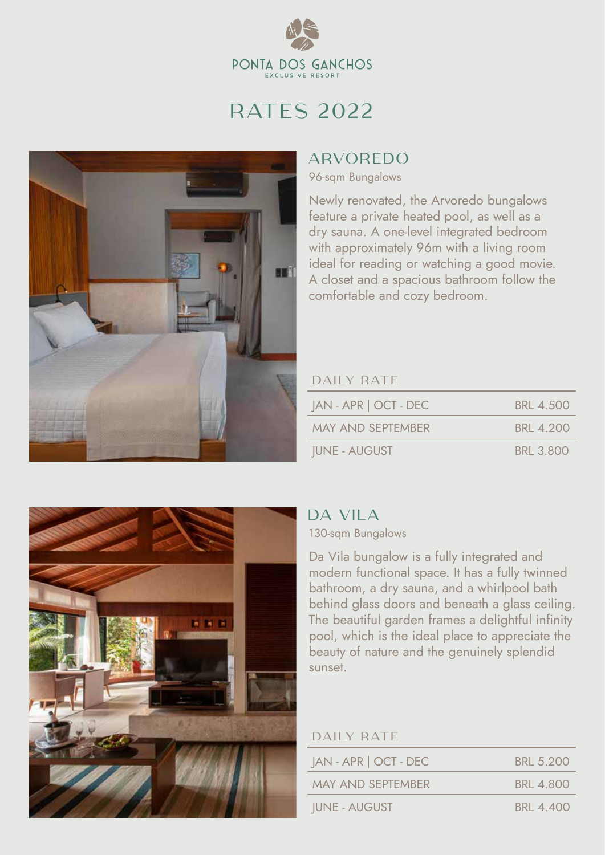

# RATES 2022



## ARVOREDO

96-sqm Bungalows

Newly renovated, the Arvoredo bungalows feature a private heated pool, as well as a dry sauna. A one-level integrated bedroom with approximately 96m with a living room ideal for reading or watching a good movie. A closet and a spacious bathroom follow the comfortable and cozy bedroom.

### DAILY RATE

| JAN - APR   OCT - DEC    | BRL 4.500        |
|--------------------------|------------------|
| <b>MAY AND SEPTEMBER</b> | <b>BRL 4.200</b> |
| <b>JUNE - AUGUST</b>     | <b>BRL 3.800</b> |



## DA VILA

130-sqm Bungalows

Da Vila bungalow is a fully integrated and modern functional space. It has a fully twinned bathroom, a dry sauna, and a whirlpool bath behind glass doors and beneath a glass ceiling. The beautiful garden frames a delightful infinity pool, which is the ideal place to appreciate the beauty of nature and the genuinely splendid sunset.

#### DAILY RATE

| $JAN - APR$   OCT - DEC  | BRI 5 200        |
|--------------------------|------------------|
| <b>MAY AND SEPTEMBER</b> | BRI 4800         |
| <b>IUNE - AUGUST</b>     | <b>BRL 4.400</b> |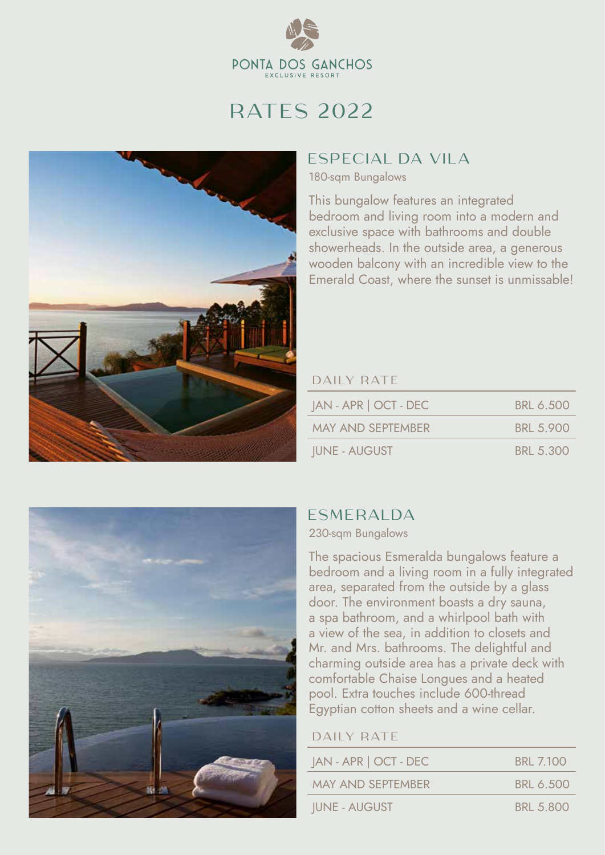

# RATES 2022



## ESPECIAL DA VILA

180-sqm Bungalows

This bungalow features an integrated bedroom and living room into a modern and exclusive space with bathrooms and double showerheads. In the outside area, a generous wooden balcony with an incredible view to the Emerald Coast, where the sunset is unmissable!

### DAILY RATE

| JAN - APR   OCT - DEC    | BRL 6.500        |
|--------------------------|------------------|
| <b>MAY AND SEPTEMBER</b> | <b>BRL 5.900</b> |
| <b>IUNE - AUGUST</b>     | <b>BRL 5.300</b> |



## ESMERALDA

#### 230-sqm Bungalows

The spacious Esmeralda bungalows feature a bedroom and a living room in a fully integrated area, separated from the outside by a glass door. The environment boasts a dry sauna, a spa bathroom, and a whirlpool bath with a view of the sea, in addition to closets and Mr. and Mrs. bathrooms. The delightful and charming outside area has a private deck with comfortable Chaise Longues and a heated pool. Extra touches include 600-thread Egyptian cotton sheets and a wine cellar.

#### DAILY RATE

| $ AN - APR $ OCT - DEC   | <b>BRL 7.100</b> |
|--------------------------|------------------|
| <b>MAY AND SEPTEMBER</b> | BRL 6.500        |
| <b>IUNE - AUGUST</b>     | <b>BRL 5.800</b> |